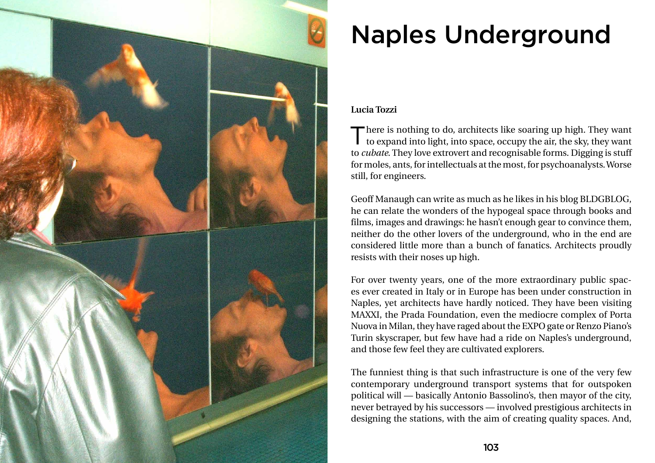

# Naples Underground

## **Lucia Tozzi**

There is nothing to do, architects like soaring up high. They want to expand into light, into space, occupy the air, the sky, they want to *cubate*. They love extrovert and recognisable forms. Digging is stuff for moles, ants, for intellectuals at the most, for psychoanalysts. Worse still, for engineers.

Geoff Manaugh can write as much as he likes in his blog BLDGBLOG, he can relate the wonders of the hypogeal space through books and films, images and drawings: he hasn't enough gear to convince them, neither do the other lovers of the underground, who in the end are considered little more than a bunch of fanatics. Architects proudly resists with their noses up high.

For over twenty years, one of the more extraordinary public spaces ever created in Italy or in Europe has been under construction in Naples, yet architects have hardly noticed. They have been visiting MAXXI, the Prada Foundation, even the mediocre complex of Porta Nuova in Milan, they have raged about the EXPO gate or Renzo Piano's Turin skyscraper, but few have had a ride on Naples's underground, and those few feel they are cultivated explorers.

The funniest thing is that such infrastructure is one of the very few contemporary underground transport systems that for outspoken political will — basically Antonio Bassolino's, then mayor of the city, never betrayed by his successors — involved prestigious architects in designing the stations, with the aim of creating quality spaces. And,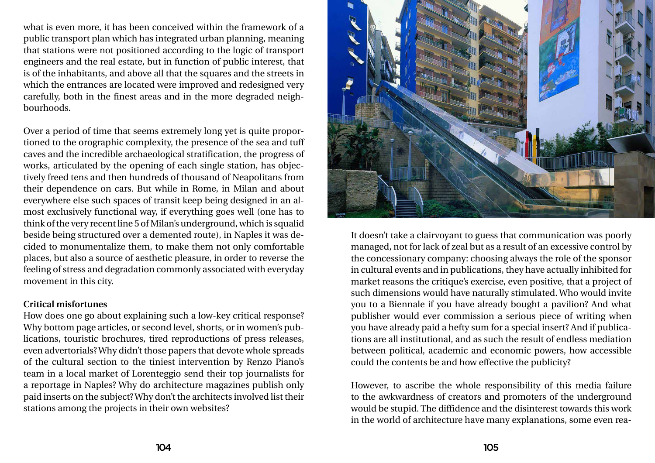what is even more, it has been conceived within the framework of a public transport plan which has integrated urban planning, meaning that stations were not positioned according to the logic of transport engineers and the real estate, but in function of public interest, that is of the inhabitants, and above all that the squares and the streets in which the entrances are located were improved and redesigned very carefully, both in the finest areas and in the more degraded neighbourhoods.

Over a period of time that seems extremely long yet is quite proportioned to the orographic complexity, the presence of the sea and tuff caves and the incredible archaeological stratification, the progress of works, articulated by the opening of each single station, has objectively freed tens and then hundreds of thousand of Neapolitans from their dependence on cars. But while in Rome, in Milan and about everywhere else such spaces of transit keep being designed in an almost exclusively functional way, if everything goes well (one has to think of the very recent line 5 of Milan's underground, which is squalid beside being structured over a demented route), in Naples it was decided to monumentalize them, to make them not only comfortable places, but also a source of aesthetic pleasure, in order to reverse the feeling of stress and degradation commonly associated with everyday movement in this city.

### **Critical misfortunes**

How does one go about explaining such a low-key critical response? Why bottom page articles, or second level, shorts, or in women's publications, touristic brochures, tired reproductions of press releases, even advertorials? Why didn't those papers that devote whole spreads of the cultural section to the tiniest intervention by Renzo Piano's team in a local market of Lorenteggio send their top journalists for a reportage in Naples? Why do architecture magazines publish only paid inserts on the subject? Why don't the architects involved list their stations among the projects in their own websites?



It doesn't take a clairvoyant to guess that communication was poorly managed, not for lack of zeal but as a result of an excessive control by the concessionary company: choosing always the role of the sponsor in cultural events and in publications, they have actually inhibited for market reasons the critique's exercise, even positive, that a project of such dimensions would have naturally stimulated. Who would invite you to a Biennale if you have already bought a pavilion? And what publisher would ever commission a serious piece of writing when you have already paid a hefty sum for a special insert? And if publications are all institutional, and as such the result of endless mediation between political, academic and economic powers, how accessible could the contents be and how effective the publicity?

However, to ascribe the whole responsibility of this media failure to the awkwardness of creators and promoters of the underground would be stupid. The diffidence and the disinterest towards this work in the world of architecture have many explanations, some even rea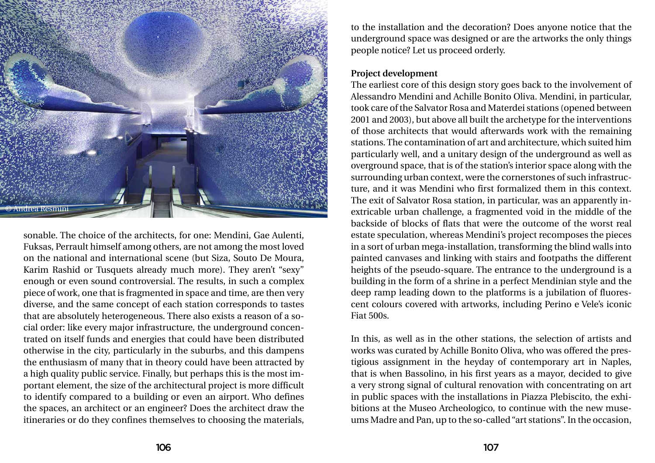sonable. The choice of the architects, for one: Mendini, Gae Aulenti, Fuksas, Perrault himself among others, are not among the most loved on the national and international scene (but Siza, Souto De Moura, Karim Rashid or Tusquets already much more). They aren't "sexy" enough or even sound controversial. The results, in such a complex piece of work, one that is fragmented in space and time, are then very diverse, and the same concept of each station corresponds to tastes that are absolutely heterogeneous. There also exists a reason of a social order: like every major infrastructure, the underground concentrated on itself funds and energies that could have been distributed otherwise in the city, particularly in the suburbs, and this dampens the enthusiasm of many that in theory could have been attracted by a high quality public service. Finally, but perhaps this is the most important element, the size of the architectural project is more difficult to identify compared to a building or even an airport. Who defines the spaces, an architect or an engineer? Does the architect draw the itineraries or do they confines themselves to choosing the materials,

to the installation and the decoration? Does anyone notice that the underground space was designed or are the artworks the only things people notice? Let us proceed orderly.

#### **Project development**

The earliest core of this design story goes back to the involvement of Alessandro Mendini and Achille Bonito Oliva. Mendini, in particular, took care of the Salvator Rosa and Materdei stations (opened between 2001 and 2003), but above all built the archetype for the interventions of those architects that would afterwards work with the remaining stations. The contamination of art and architecture, which suited him particularly well, and a unitary design of the underground as well as overground space, that is of the station's interior space along with the surrounding urban context, were the cornerstones of such infrastructure, and it was Mendini who first formalized them in this context. The exit of Salvator Rosa station, in particular, was an apparently inextricable urban challenge, a fragmented void in the middle of the backside of blocks of flats that were the outcome of the worst real estate speculation, whereas Mendini's project recomposes the pieces in a sort of urban mega-installation, transforming the blind walls into painted canvases and linking with stairs and footpaths the different heights of the pseudo-square. The entrance to the underground is a building in the form of a shrine in a perfect Mendinian style and the deep ramp leading down to the platforms is a jubilation of fluorescent colours covered with artworks, including Perino e Vele's iconic Fiat 500s.

In this, as well as in the other stations, the selection of artists and works was curated by Achille Bonito Oliva, who was offered the prestigious assignment in the heyday of contemporary art in Naples, that is when Bassolino, in his first years as a mayor, decided to give a very strong signal of cultural renovation with concentrating on art in public spaces with the installations in Piazza Plebiscito, the exhibitions at the Museo Archeologico, to continue with the new museums Madre and Pan, up to the so-called "art stations". In the occasion,

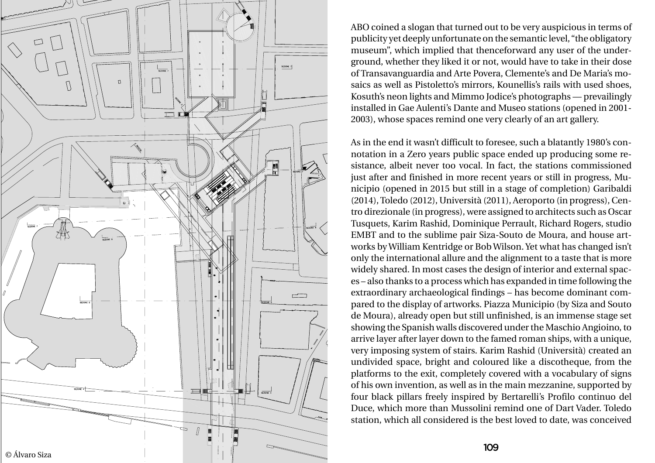ABO coined a slogan that turned out to be very auspicious in terms of publicity yet deeply unfortunate on the semantic level, "the obligatory museum", which implied that thenceforward any user of the under ground, whether they liked it or not, would have to take in their dose of Transavanguardia and Arte Povera, Clemente's and De Maria's mo saics as well as Pistoletto's mirrors, Kounellis's rails with used shoes, Kosuth's neon lights and Mimmo Jodice's photographs — prevailingly installed in Gae Aulenti's Dante and Museo stations (opened in 2001- 2003), whose spaces remind one very clearly of an art gallery.



As in the end it wasn't difficult to foresee, such a blatantly 1980's con notation in a Zero years public space ended up producing some re sistance, albeit never too vocal. In fact, the stations commissioned just after and finished in more recent years or still in progress, Mu nicipio (opened in 2015 but still in a stage of completion) Garibaldi (2014), Toledo (2012), Università (2011), Aeroporto (in progress), Cen tro direzionale (in progress), were assigned to architects such as Oscar Tusquets, Karim Rashid, Dominique Perrault, Richard Rogers, studio EMBT and to the sublime pair Siza-Souto de Moura, and house art works by William Kentridge or Bob Wilson. Yet what has changed isn't only the international allure and the alignment to a taste that is more widely shared. In most cases the design of interior and external spac es – also thanks to a process which has expanded in time following the extraordinary archaeological findings – has become dominant com pared to the display of artworks. Piazza Municipio (by Siza and Souto de Moura), already open but still unfinished, is an immense stage set showing the Spanish walls discovered under the Maschio Angioino, to arrive layer after layer down to the famed roman ships, with a unique, very imposing system of stairs. Karim Rashid (Università) created an undivided space, bright and coloured like a discotheque, from the platforms to the exit, completely covered with a vocabulary of signs of his own invention, as well as in the main mezzanine, supported by four black pillars freely inspired by Bertarelli's Profilo continuo del Duce, which more than Mussolini remind one of Dart Vader. Toledo station, which all considered is the best loved to date, was conceived